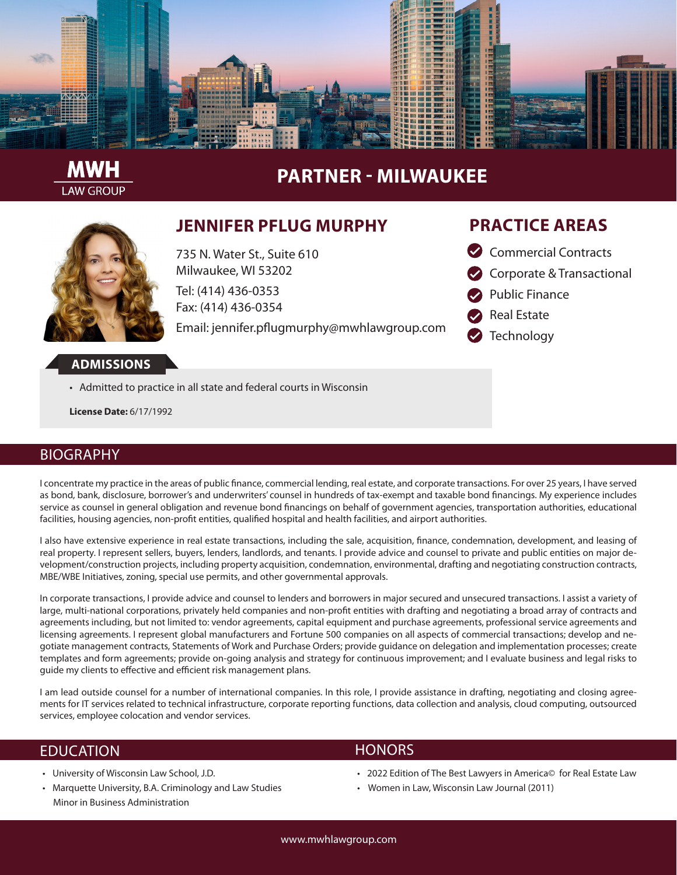

# **PARTNER - MILWAUKEE**



**LAW GROUP** 

### **JENNIFER PFLUG MURPHY**

735 N. Water St., Suite 610 Milwaukee, WI 53202 Tel: (414) 436-0353 Fax: (414) 436-0354

Email: jennifer.pflugmurphy@mwhlawgroup.com

### **PRACTICE AREAS**

- Commercial Contracts
- Corporate & Transactional
- Public Finance
- Real Estate
- **Technology**

#### **ADMISSIONS**

• Admitted to practice in all state and federal courts in Wisconsin

**License Date:** 6/17/1992

#### BIOGRAPHY

I concentrate my practice in the areas of public finance, commercial lending, real estate, and corporate transactions. For over 25 years, I have served as bond, bank, disclosure, borrower's and underwriters' counsel in hundreds of tax-exempt and taxable bond financings. My experience includes service as counsel in general obligation and revenue bond financings on behalf of government agencies, transportation authorities, educational facilities, housing agencies, non-profit entities, qualified hospital and health facilities, and airport authorities.

I also have extensive experience in real estate transactions, including the sale, acquisition, finance, condemnation, development, and leasing of real property. I represent sellers, buyers, lenders, landlords, and tenants. I provide advice and counsel to private and public entities on major development/construction projects, including property acquisition, condemnation, environmental, drafting and negotiating construction contracts, MBE/WBE Initiatives, zoning, special use permits, and other governmental approvals.

In corporate transactions, I provide advice and counsel to lenders and borrowers in major secured and unsecured transactions. I assist a variety of large, multi-national corporations, privately held companies and non-profit entities with drafting and negotiating a broad array of contracts and agreements including, but not limited to: vendor agreements, capital equipment and purchase agreements, professional service agreements and licensing agreements. I represent global manufacturers and Fortune 500 companies on all aspects of commercial transactions; develop and negotiate management contracts, Statements of Work and Purchase Orders; provide guidance on delegation and implementation processes; create templates and form agreements; provide on-going analysis and strategy for continuous improvement; and I evaluate business and legal risks to guide my clients to effective and efficient risk management plans.

I am lead outside counsel for a number of international companies. In this role, I provide assistance in drafting, negotiating and closing agreements for IT services related to technical infrastructure, corporate reporting functions, data collection and analysis, cloud computing, outsourced services, employee colocation and vendor services.

#### EDUCATION

- University of Wisconsin Law School, J.D.
- Marquette University, B.A. Criminology and Law Studies Minor in Business Administration

#### **HONORS**

- 2022 Edition of The Best Lawyers in America© for Real Estate Law
- Women in Law, Wisconsin Law Journal (2011)